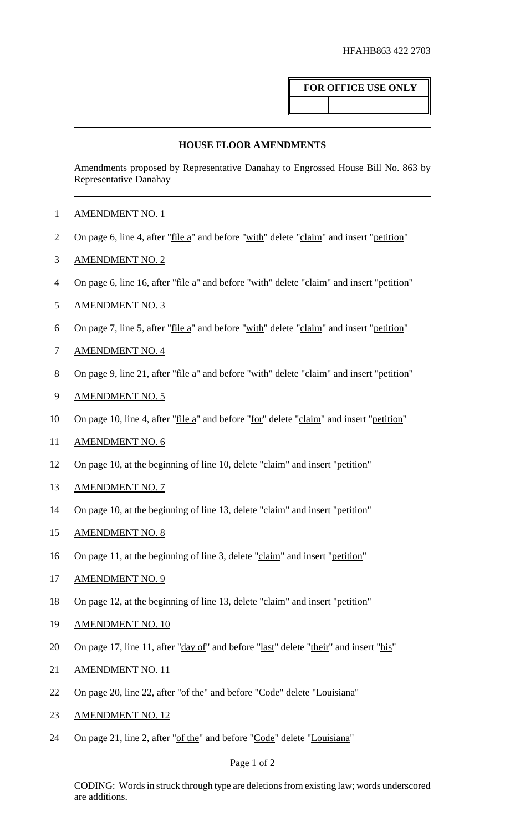# **FOR OFFICE USE ONLY**

### **HOUSE FLOOR AMENDMENTS**

Amendments proposed by Representative Danahay to Engrossed House Bill No. 863 by Representative Danahay

- 1 AMENDMENT NO. 1
- 2 On page 6, line 4, after "file a" and before "with" delete "claim" and insert "petition"
- 3 AMENDMENT NO. 2
- 4 On page 6, line 16, after "<u>file a</u>" and before "with" delete "claim" and insert "petition"
- 5 AMENDMENT NO. 3
- 6 On page 7, line 5, after "file a" and before "with" delete "claim" and insert "petition"
- 7 AMENDMENT NO. 4
- 8 On page 9, line 21, after "<u>file a</u>" and before "with" delete "claim" and insert "petition"
- 9 AMENDMENT NO. 5
- 10 On page 10, line 4, after "file a" and before "for" delete "claim" and insert "petition"
- 11 AMENDMENT NO. 6
- 12 On page 10, at the beginning of line 10, delete "claim" and insert "petition"
- 13 AMENDMENT NO. 7
- 14 On page 10, at the beginning of line 13, delete "claim" and insert "petition"
- 15 AMENDMENT NO. 8
- 16 On page 11, at the beginning of line 3, delete "claim" and insert "petition"
- 17 AMENDMENT NO. 9
- 18 On page 12, at the beginning of line 13, delete "claim" and insert "petition"
- 19 AMENDMENT NO. 10
- 20 On page 17, line 11, after "day of" and before "last" delete "their" and insert "his"
- 21 AMENDMENT NO. 11
- 22 On page 20, line 22, after "of the" and before "Code" delete "Louisiana"
- 23 AMENDMENT NO. 12
- 24 On page 21, line 2, after "of the" and before "Code" delete "Louisiana"

#### Page 1 of 2

CODING: Words in struck through type are deletions from existing law; words underscored are additions.